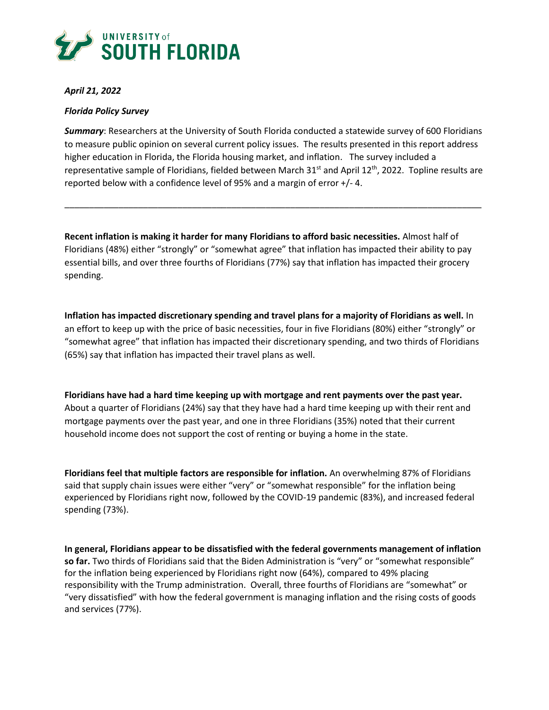

### *April 21, 2022*

### *Florida Policy Survey*

*Summary*: Researchers at the University of South Florida conducted a statewide survey of 600 Floridians to measure public opinion on several current policy issues. The results presented in this report address higher education in Florida, the Florida housing market, and inflation. The survey included a representative sample of Floridians, fielded between March 31<sup>st</sup> and April 12<sup>th</sup>, 2022. Topline results are reported below with a confidence level of 95% and a margin of error +/- 4.

\_\_\_\_\_\_\_\_\_\_\_\_\_\_\_\_\_\_\_\_\_\_\_\_\_\_\_\_\_\_\_\_\_\_\_\_\_\_\_\_\_\_\_\_\_\_\_\_\_\_\_\_\_\_\_\_\_\_\_\_\_\_\_\_\_\_\_\_\_\_\_\_\_\_\_\_\_\_\_\_\_\_\_\_\_

**Recent inflation is making it harder for many Floridians to afford basic necessities.** Almost half of Floridians (48%) either "strongly" or "somewhat agree" that inflation has impacted their ability to pay essential bills, and over three fourths of Floridians (77%) say that inflation has impacted their grocery spending.

**Inflation has impacted discretionary spending and travel plans for a majority of Floridians as well.** In an effort to keep up with the price of basic necessities, four in five Floridians (80%) either "strongly" or "somewhat agree" that inflation has impacted their discretionary spending, and two thirds of Floridians (65%) say that inflation has impacted their travel plans as well.

**Floridians have had a hard time keeping up with mortgage and rent payments over the past year.**  About a quarter of Floridians (24%) say that they have had a hard time keeping up with their rent and mortgage payments over the past year, and one in three Floridians (35%) noted that their current household income does not support the cost of renting or buying a home in the state.

**Floridians feel that multiple factors are responsible for inflation.** An overwhelming 87% of Floridians said that supply chain issues were either "very" or "somewhat responsible" for the inflation being experienced by Floridians right now, followed by the COVID-19 pandemic (83%), and increased federal spending (73%).

**In general, Floridians appear to be dissatisfied with the federal governments management of inflation so far.** Two thirds of Floridians said that the Biden Administration is "very" or "somewhat responsible" for the inflation being experienced by Floridians right now (64%), compared to 49% placing responsibility with the Trump administration. Overall, three fourths of Floridians are "somewhat" or "very dissatisfied" with how the federal government is managing inflation and the rising costs of goods and services (77%).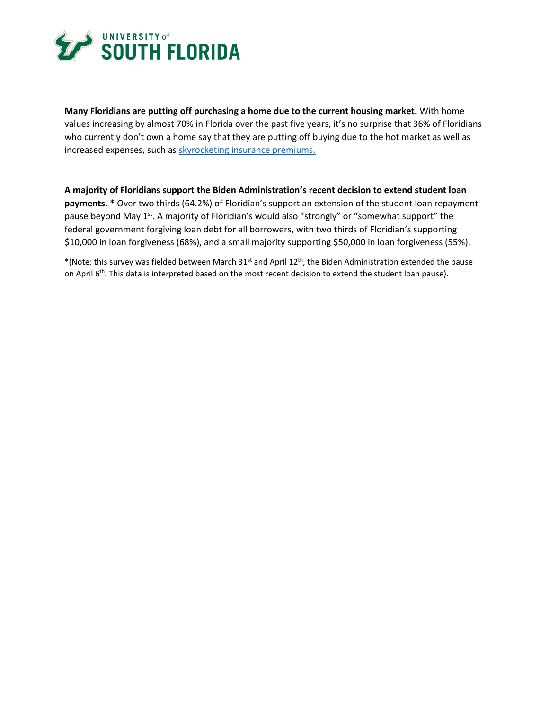

**Many Floridians are putting off purchasing a home due to the current housing market.** With home values increasing by almost 70% in Florida over the past five years, it's no surprise that 36% of Floridians who currently don't own a home say that they are putting off buying due to the hot market as well as increased expenses, such as [skyrocketing insurance premiums.](https://www.abcactionnews.com/news/price-of-paradise/80k-lawsuits-filed-against-insurance-companies-in-2020-doubling-homeowners-insurance-premiums)

**A majority of Floridians support the Biden Administration's recent decision to extend student loan payments. \*** Over two thirds (64.2%) of Floridian's support an extension of the student loan repayment pause beyond May 1<sup>st</sup>. A majority of Floridian's would also "strongly" or "somewhat support" the federal government forgiving loan debt for all borrowers, with two thirds of Floridian's supporting \$10,000 in loan forgiveness (68%), and a small majority supporting \$50,000 in loan forgiveness (55%).

\*(Note: this survey was fielded between March 31st and April 12th, the Biden Administration extended the pause on April 6<sup>th</sup>. This data is interpreted based on the most recent decision to extend the student loan pause).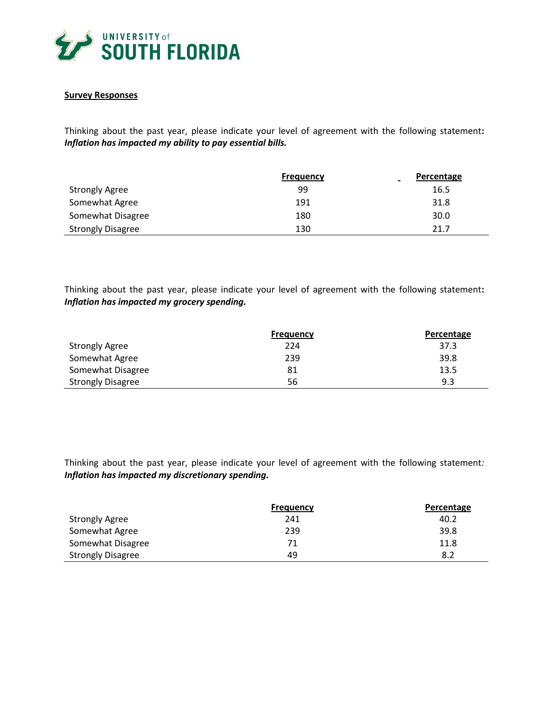

#### **Survey Responses**

Thinking about the past year, please indicate your level of agreement with the following statement**:** *Inflation has impacted my ability to pay essential bills.*

|                          | <b>Frequency</b> | <b>Percentage</b> |
|--------------------------|------------------|-------------------|
| <b>Strongly Agree</b>    | 99               | 16.5              |
| Somewhat Agree           | 191              | 31.8              |
| Somewhat Disagree        | 180              | 30.0              |
| <b>Strongly Disagree</b> | 130              | 21.7              |

Thinking about the past year, please indicate your level of agreement with the following statement**:** *Inflation has impacted my grocery spending.*

|                          | <b>Frequency</b> | Percentage |
|--------------------------|------------------|------------|
| <b>Strongly Agree</b>    | 224              | 37.3       |
| Somewhat Agree           | 239              | 39.8       |
| Somewhat Disagree        | 81               | 13.5       |
| <b>Strongly Disagree</b> | 56               | 9.3        |

Thinking about the past year, please indicate your level of agreement with the following statement*: Inflation has impacted my discretionary spending.*

|                          | <b>Frequency</b> | Percentage |
|--------------------------|------------------|------------|
| <b>Strongly Agree</b>    | 241              | 40.2       |
| Somewhat Agree           | 239              | 39.8       |
| Somewhat Disagree        | 71               | 11.8       |
| <b>Strongly Disagree</b> | 49               | 8.2        |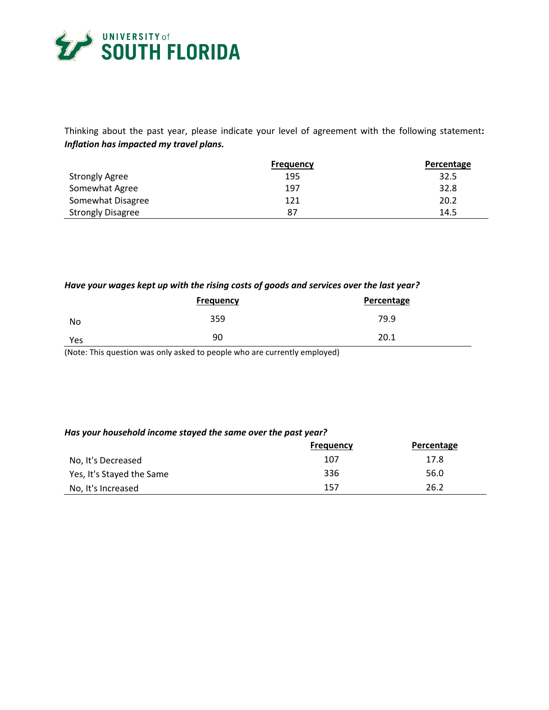

Thinking about the past year, please indicate your level of agreement with the following statement**:** *Inflation has impacted my travel plans.*

|                          | <b>Frequency</b> | Percentage |
|--------------------------|------------------|------------|
| <b>Strongly Agree</b>    | 195              | 32.5       |
| Somewhat Agree           | 197              | 32.8       |
| Somewhat Disagree        | 121              | 20.2       |
| <b>Strongly Disagree</b> | 87               | 14.5       |

# *Have your wages kept up with the rising costs of goods and services over the last year?*

|     | <b>Frequency</b> | Percentage |
|-----|------------------|------------|
| No  | 359              | 79.9       |
| Yes | 90               | 20.1       |

(Note: This question was only asked to people who are currently employed)

#### *Has your household income stayed the same over the past year?*

|                           | <b>Frequency</b> | Percentage |
|---------------------------|------------------|------------|
| No, It's Decreased        | 107              | 17.8       |
| Yes, It's Stayed the Same | 336              | 56.0       |
| No, It's Increased        | 157              | 26.2       |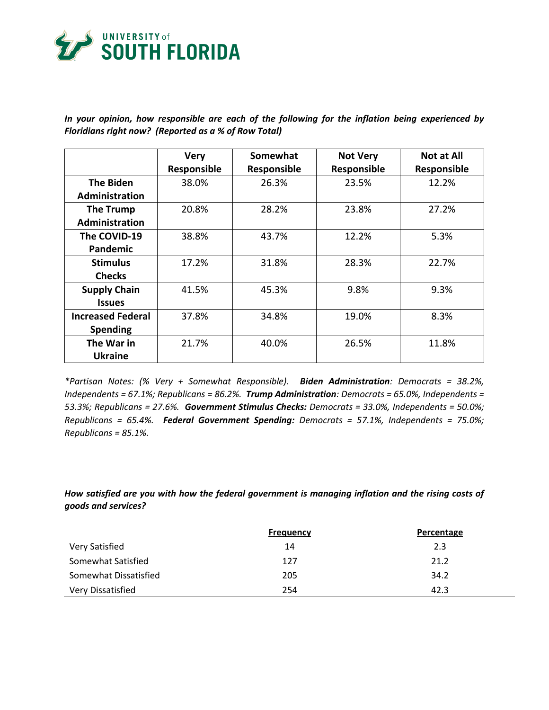

*In your opinion, how responsible are each of the following for the inflation being experienced by Floridians right now? (Reported as a % of Row Total)*

|                          | <b>Very</b> | Somewhat    | <b>Not Very</b> | <b>Not at All</b> |
|--------------------------|-------------|-------------|-----------------|-------------------|
|                          | Responsible | Responsible | Responsible     | Responsible       |
| <b>The Biden</b>         | 38.0%       | 26.3%       | 23.5%           | 12.2%             |
| Administration           |             |             |                 |                   |
| The Trump                | 20.8%       | 28.2%       | 23.8%           | 27.2%             |
| <b>Administration</b>    |             |             |                 |                   |
| The COVID-19             | 38.8%       | 43.7%       | 12.2%           | 5.3%              |
| <b>Pandemic</b>          |             |             |                 |                   |
| <b>Stimulus</b>          | 17.2%       | 31.8%       | 28.3%           | 22.7%             |
| <b>Checks</b>            |             |             |                 |                   |
| <b>Supply Chain</b>      | 41.5%       | 45.3%       | 9.8%            | 9.3%              |
| <b>Issues</b>            |             |             |                 |                   |
| <b>Increased Federal</b> | 37.8%       | 34.8%       | 19.0%           | 8.3%              |
| <b>Spending</b>          |             |             |                 |                   |
| The War in               | 21.7%       | 40.0%       | 26.5%           | 11.8%             |
| <b>Ukraine</b>           |             |             |                 |                   |

*\*Partisan Notes: (% Very + Somewhat Responsible). Biden Administration: Democrats = 38.2%, Independents = 67.1%; Republicans = 86.2%. Trump Administration: Democrats = 65.0%, Independents = 53.3%; Republicans = 27.6%. Government Stimulus Checks: Democrats = 33.0%, Independents = 50.0%; Republicans = 65.4%. Federal Government Spending: Democrats = 57.1%, Independents = 75.0%; Republicans = 85.1%.* 

*How satisfied are you with how the federal government is managing inflation and the rising costs of goods and services?*

|                       | <b>Frequency</b> | Percentage |
|-----------------------|------------------|------------|
| Very Satisfied        | 14               | 2.3        |
| Somewhat Satisfied    | 127              | 21.2       |
| Somewhat Dissatisfied | 205              | 34.2       |
| Very Dissatisfied     | 254              | 42.3       |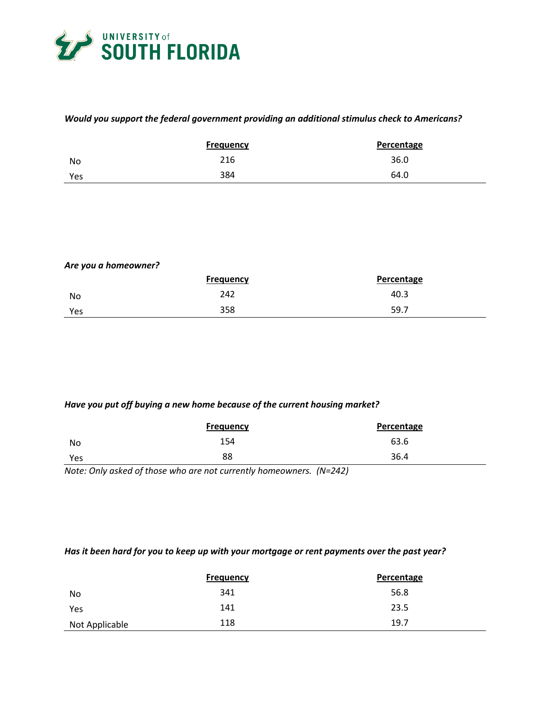

# *Would you support the federal government providing an additional stimulus check to Americans?*

|     | Frequency | Percentage |
|-----|-----------|------------|
| No  | 216       | 36.0       |
| Yes | 384       | 64.0       |

# *Are you a homeowner?*

|     | <b>Frequency</b> | Percentage |
|-----|------------------|------------|
| No  | 242              | 40.3       |
| Yes | 358              | 59.7       |

## *Have you put off buying a new home because of the current housing market?*

|     | <b>Frequency</b> | <b>Percentage</b> |
|-----|------------------|-------------------|
| No  | 154              | 63.6              |
| Yes | 88               | 36.4              |

*Note: Only asked of those who are not currently homeowners. (N=242)*

## *Has it been hard for you to keep up with your mortgage or rent payments over the past year?*

|                | <b>Frequency</b> | Percentage |
|----------------|------------------|------------|
| No             | 341              | 56.8       |
| Yes            | 141              | 23.5       |
| Not Applicable | 118              | 19.7       |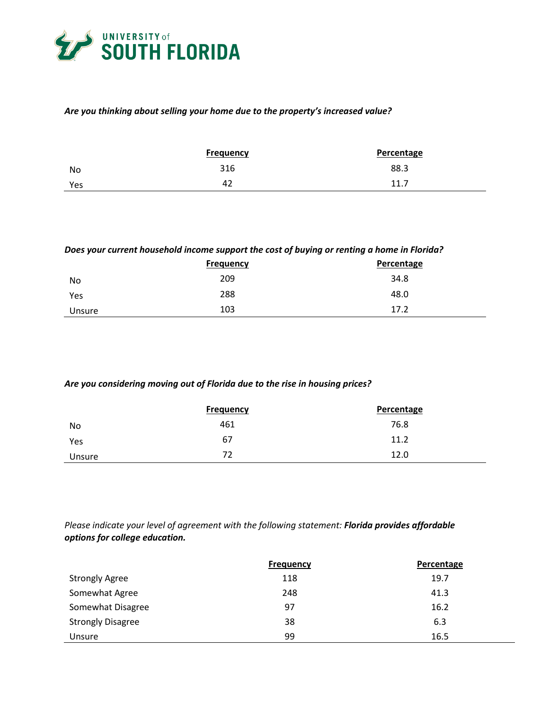

# *Are you thinking about selling your home due to the property's increased value?*

|     | <b>Frequency</b> | Percentage |
|-----|------------------|------------|
| No  | 316              | 88.3       |
| Yes | 42               | 11.7       |

### *Does your current household income support the cost of buying or renting a home in Florida?*

|        | <b>Frequency</b> | Percentage |
|--------|------------------|------------|
| No     | 209              | 34.8       |
| Yes    | 288              | 48.0       |
| Unsure | 103              | 17.2       |

#### *Are you considering moving out of Florida due to the rise in housing prices?*

|        | <b>Frequency</b> | <b>Percentage</b> |
|--------|------------------|-------------------|
| No     | 461              | 76.8              |
| Yes    | 67               | 11.2              |
| Unsure | 72               | 12.0              |

*Please indicate your level of agreement with the following statement: Florida provides affordable options for college education.*

|                          | <b>Frequency</b> | <b>Percentage</b> |
|--------------------------|------------------|-------------------|
| <b>Strongly Agree</b>    | 118              | 19.7              |
| Somewhat Agree           | 248              | 41.3              |
| Somewhat Disagree        | 97               | 16.2              |
| <b>Strongly Disagree</b> | 38               | 6.3               |
| Unsure                   | 99               | 16.5              |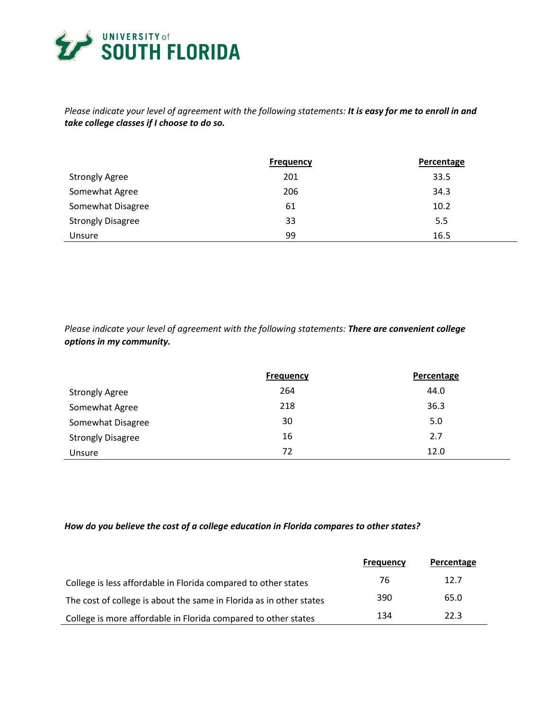

j.

# *Please indicate your level of agreement with the following statements: It is easy for me to enroll in and take college classes if I choose to do so.*

|                          | <b>Frequency</b> | Percentage |
|--------------------------|------------------|------------|
| <b>Strongly Agree</b>    | 201              | 33.5       |
| Somewhat Agree           | 206              | 34.3       |
| Somewhat Disagree        | 61               | 10.2       |
| <b>Strongly Disagree</b> | 33               | 5.5        |
| Unsure                   | 99               | 16.5       |

*Please indicate your level of agreement with the following statements: There are convenient college options in my community.* 

|                          | <b>Frequency</b> | Percentage |
|--------------------------|------------------|------------|
| <b>Strongly Agree</b>    | 264              | 44.0       |
| Somewhat Agree           | 218              | 36.3       |
| Somewhat Disagree        | 30               | 5.0        |
| <b>Strongly Disagree</b> | 16               | 2.7        |
| Unsure                   | 72               | 12.0       |

#### *How do you believe the cost of a college education in Florida compares to other states?*

|                                                                     | Frequency | Percentage |
|---------------------------------------------------------------------|-----------|------------|
| College is less affordable in Florida compared to other states      | 76        | 12.7       |
| The cost of college is about the same in Florida as in other states | 390       | 65.0       |
| College is more affordable in Florida compared to other states      | 134       | 22.3       |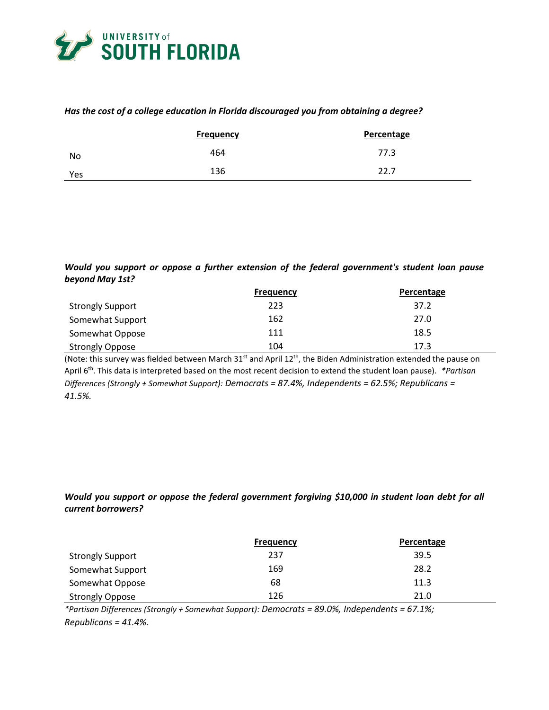

### *Has the cost of a college education in Florida discouraged you from obtaining a degree?*

|     | <b>Frequency</b> | <b>Percentage</b> |
|-----|------------------|-------------------|
| No  | 464              | 77.3              |
| Yes | 136              | 22.7              |

# *Would you support or oppose a further extension of the federal government's student loan pause beyond May 1st?*

|                         | <b>Frequency</b> | Percentage |
|-------------------------|------------------|------------|
| <b>Strongly Support</b> | 223              | 37.2       |
| Somewhat Support        | 162              | 27.0       |
| Somewhat Oppose         | 111              | 18.5       |
| <b>Strongly Oppose</b>  | 104              | 17.3       |

(Note: this survey was fielded between March 31<sup>st</sup> and April 12<sup>th</sup>, the Biden Administration extended the pause on April 6th. This data is interpreted based on the most recent decision to extend the student loan pause). *\*Partisan Differences (Strongly + Somewhat Support): Democrats = 87.4%, Independents = 62.5%; Republicans = 41.5%.* 

# *Would you support or oppose the federal government forgiving \$10,000 in student loan debt for all current borrowers?*

|                         | <b>Frequency</b> | Percentage |
|-------------------------|------------------|------------|
| <b>Strongly Support</b> | 237              | 39.5       |
| Somewhat Support        | 169              | 28.2       |
| Somewhat Oppose         | 68               | 11.3       |
| <b>Strongly Oppose</b>  | 126              | 21.0       |

*\*Partisan Differences (Strongly + Somewhat Support): Democrats = 89.0%, Independents = 67.1%; Republicans = 41.4%.*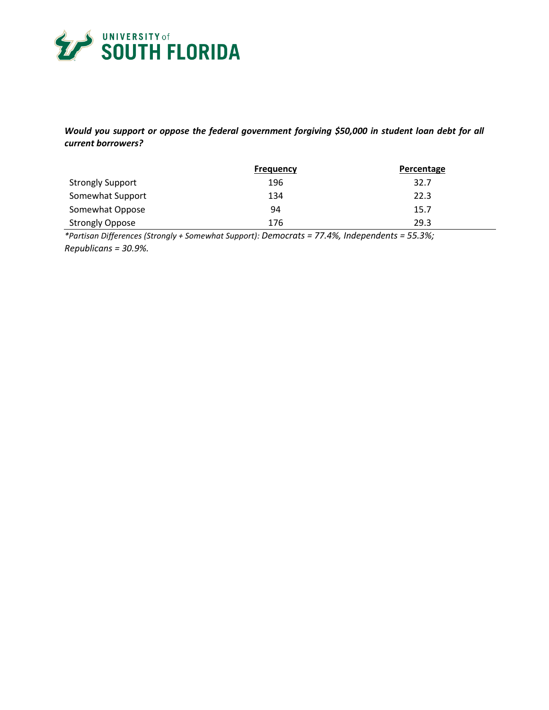

# *Would you support or oppose the federal government forgiving \$50,000 in student loan debt for all current borrowers?*

|                         | <b>Frequency</b> | Percentage |
|-------------------------|------------------|------------|
| <b>Strongly Support</b> | 196              | 32.7       |
| Somewhat Support        | 134              | 22.3       |
| Somewhat Oppose         | 94               | 15.7       |
| <b>Strongly Oppose</b>  | 176              | 29.3       |

*\*Partisan Differences (Strongly + Somewhat Support): Democrats = 77.4%, Independents = 55.3%; Republicans = 30.9%.*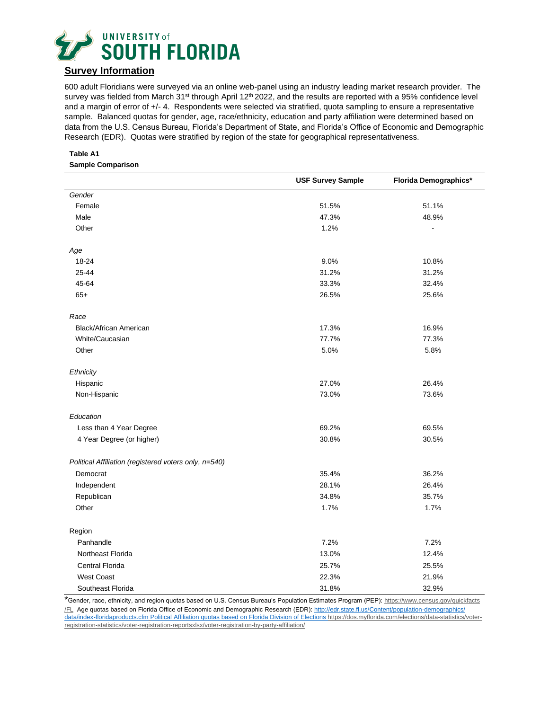

# **Survey Information**

600 adult Floridians were surveyed via an online web-panel using an industry leading market research provider. The survey was fielded from March 31<sup>st</sup> through April 12<sup>th</sup> 2022, and the results are reported with a 95% confidence level and a margin of error of +/- 4. Respondents were selected via stratified, quota sampling to ensure a representative sample. Balanced quotas for gender, age, race/ethnicity, education and party affiliation were determined based on data from the U.S. Census Bureau, Florida's Department of State, and Florida's Office of Economic and Demographic Research (EDR). Quotas were stratified by region of the state for geographical representativeness.

#### **Table A1 Sample Comparison**

|                                                       | <b>USF Survey Sample</b> | Florida Demographics* |
|-------------------------------------------------------|--------------------------|-----------------------|
| Gender                                                |                          |                       |
| Female                                                | 51.5%                    | 51.1%                 |
| Male                                                  | 47.3%                    | 48.9%                 |
| Other                                                 | 1.2%                     |                       |
| Age                                                   |                          |                       |
| 18-24                                                 | 9.0%                     | 10.8%                 |
| 25-44                                                 | 31.2%                    | 31.2%                 |
| 45-64                                                 | 33.3%                    | 32.4%                 |
| $65+$                                                 | 26.5%                    | 25.6%                 |
| Race                                                  |                          |                       |
| Black/African American                                | 17.3%                    | 16.9%                 |
| White/Caucasian                                       | 77.7%                    | 77.3%                 |
| Other                                                 | 5.0%                     | 5.8%                  |
| Ethnicity                                             |                          |                       |
| Hispanic                                              | 27.0%                    | 26.4%                 |
| Non-Hispanic                                          | 73.0%                    | 73.6%                 |
| Education                                             |                          |                       |
| Less than 4 Year Degree                               | 69.2%                    | 69.5%                 |
| 4 Year Degree (or higher)                             | 30.8%                    | 30.5%                 |
| Political Affiliation (registered voters only, n=540) |                          |                       |
| Democrat                                              | 35.4%                    | 36.2%                 |
| Independent                                           | 28.1%                    | 26.4%                 |
| Republican                                            | 34.8%                    | 35.7%                 |
| Other                                                 | 1.7%                     | 1.7%                  |
| Region                                                |                          |                       |
| Panhandle                                             | 7.2%                     | 7.2%                  |
| Northeast Florida                                     | 13.0%                    | 12.4%                 |
| Central Florida                                       | 25.7%                    | 25.5%                 |
| <b>West Coast</b>                                     | 22.3%                    | 21.9%                 |
| Southeast Florida                                     | 31.8%                    | 32.9%                 |

\*Gender, race, ethnicity, and region quotas based on U.S. Census Bureau's Population Estimates Program (PEP): [https://www.census.gov/quickfacts](https://www.census.gov/quickfacts‌/FL) [/FL](https://www.census.gov/quickfacts‌/FL) Age quotas based on Florida Office of Economic and Demographic Research (EDR)[: http://edr.state.fl.us/Content/population-demographics/](http://edr.state.fl.us/Content/population-demographics/%20data/index-floridaproducts.cfm)  [data/index-floridaproducts.cfm](http://edr.state.fl.us/Content/population-demographics/%20data/index-floridaproducts.cfm) Political Affiliation quotas based on Florida Division of Elections [https://dos.myflorida.com/elections/data-statistics/voter](https://dos.myflorida.com/elections/data-statistics/voter-registration-statistics/voter-registration-reportsxlsx/voter-registration-by-party-affiliation/)[registration-statistics/voter-registration-reportsxlsx/voter-registration-by-party-affiliation/](https://dos.myflorida.com/elections/data-statistics/voter-registration-statistics/voter-registration-reportsxlsx/voter-registration-by-party-affiliation/)